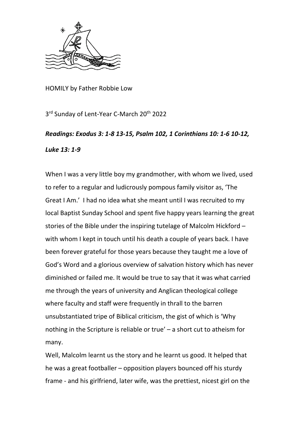

HOMILY by Father Robbie Low

3<sup>rd</sup> Sunday of Lent-Year C-March 20<sup>th</sup> 2022

## *Readings: Exodus 3: 1-8 13-15, Psalm 102, 1 Corinthians 10: 1-6 10-12, Luke 13: 1-9*

When I was a very little boy my grandmother, with whom we lived, used to refer to a regular and ludicrously pompous family visitor as, 'The Great I Am.' I had no idea what she meant until I was recruited to my local Baptist Sunday School and spent five happy years learning the great stories of the Bible under the inspiring tutelage of Malcolm Hickford – with whom I kept in touch until his death a couple of years back. I have been forever grateful for those years because they taught me a love of God's Word and a glorious overview of salvation history which has never diminished or failed me. It would be true to say that it was what carried me through the years of university and Anglican theological college where faculty and staff were frequently in thrall to the barren unsubstantiated tripe of Biblical criticism, the gist of which is 'Why nothing in the Scripture is reliable or true' – a short cut to atheism for many.

Well, Malcolm learnt us the story and he learnt us good. It helped that he was a great footballer – opposition players bounced off his sturdy frame - and his girlfriend, later wife, was the prettiest, nicest girl on the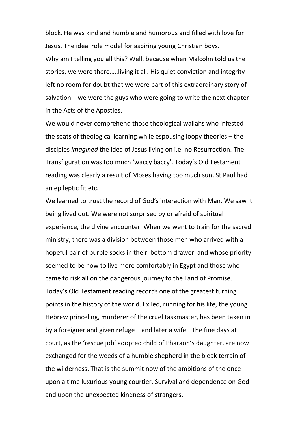block. He was kind and humble and humorous and filled with love for Jesus. The ideal role model for aspiring young Christian boys.

Why am I telling you all this? Well, because when Malcolm told us the stories, we were there…..living it all. His quiet conviction and integrity left no room for doubt that we were part of this extraordinary story of salvation – we were the guys who were going to write the next chapter in the Acts of the Apostles.

We would never comprehend those theological wallahs who infested the seats of theological learning while espousing loopy theories – the disciples *imagined* the idea of Jesus living on i.e. no Resurrection. The Transfiguration was too much 'waccy baccy'. Today's Old Testament reading was clearly a result of Moses having too much sun, St Paul had an epileptic fit etc.

We learned to trust the record of God's interaction with Man. We saw it being lived out. We were not surprised by or afraid of spiritual experience, the divine encounter. When we went to train for the sacred ministry, there was a division between those men who arrived with a hopeful pair of purple socks in their bottom drawer and whose priority seemed to be how to live more comfortably in Egypt and those who came to risk all on the dangerous journey to the Land of Promise. Today's Old Testament reading records one of the greatest turning points in the history of the world. Exiled, running for his life, the young Hebrew princeling, murderer of the cruel taskmaster, has been taken in by a foreigner and given refuge – and later a wife ! The fine days at court, as the 'rescue job' adopted child of Pharaoh's daughter, are now exchanged for the weeds of a humble shepherd in the bleak terrain of the wilderness. That is the summit now of the ambitions of the once upon a time luxurious young courtier. Survival and dependence on God and upon the unexpected kindness of strangers.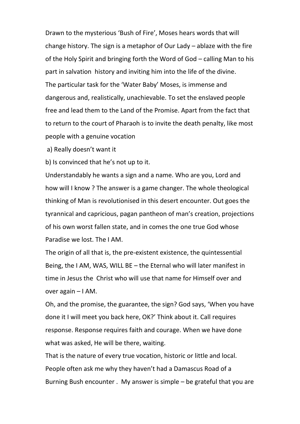Drawn to the mysterious 'Bush of Fire', Moses hears words that will change history. The sign is a metaphor of Our Lady – ablaze with the fire of the Holy Spirit and bringing forth the Word of God – calling Man to his part in salvation history and inviting him into the life of the divine. The particular task for the 'Water Baby' Moses, is immense and dangerous and, realistically, unachievable. To set the enslaved people free and lead them to the Land of the Promise. Apart from the fact that to return to the court of Pharaoh is to invite the death penalty, like most people with a genuine vocation

a) Really doesn't want it

b) Is convinced that he's not up to it.

Understandably he wants a sign and a name. Who are you, Lord and how will I know ? The answer is a game changer. The whole theological thinking of Man is revolutionised in this desert encounter. Out goes the tyrannical and capricious, pagan pantheon of man's creation, projections of his own worst fallen state, and in comes the one true God whose Paradise we lost. The I AM.

The origin of all that is, the pre-existent existence, the quintessential Being, the I AM, WAS, WILL BE – the Eternal who will later manifest in time in Jesus the Christ who will use that name for Himself over and over again – I AM.

Oh, and the promise, the guarantee, the sign? God says, 'When you have done it I will meet you back here, OK?' Think about it. Call requires response. Response requires faith and courage. When we have done what was asked, He will be there, waiting.

That is the nature of every true vocation, historic or little and local. People often ask me why they haven't had a Damascus Road of a Burning Bush encounter . My answer is simple – be grateful that you are